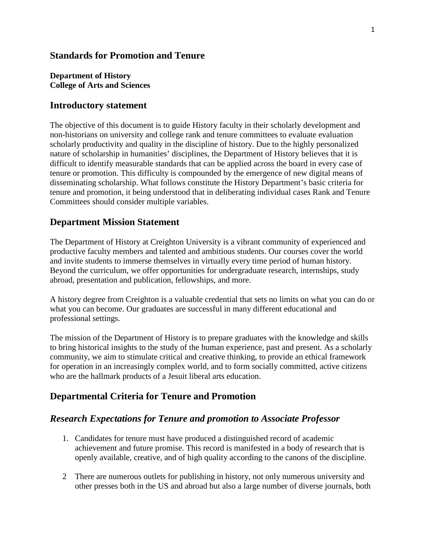## **Standards for Promotion and Tenure**

#### **Department of History College of Arts and Sciences**

### **Introductory statement**

The objective of this document is to guide History faculty in their scholarly development and non-historians on university and college rank and tenure committees to evaluate evaluation scholarly productivity and quality in the discipline of history. Due to the highly personalized nature of scholarship in humanities' disciplines, the Department of History believes that it is difficult to identify measurable standards that can be applied across the board in every case of tenure or promotion. This difficulty is compounded by the emergence of new digital means of disseminating scholarship. What follows constitute the History Department's basic criteria for tenure and promotion, it being understood that in deliberating individual cases Rank and Tenure Committees should consider multiple variables.

# **Department Mission Statement**

The Department of History at Creighton University is a vibrant community of experienced and productive faculty members and talented and ambitious students. Our courses cover the world and invite students to immerse themselves in virtually every time period of human history. Beyond the curriculum, we offer opportunities for undergraduate research, internships, study abroad, presentation and publication, fellowships, and more.

A history degree from Creighton is a valuable credential that sets no limits on what you can do or what you can become. Our graduates are successful in many different educational and professional settings.

The mission of the Department of History is to prepare graduates with the knowledge and skills to bring historical insights to the study of the human experience, past and present. As a scholarly community, we aim to stimulate critical and creative thinking, to provide an ethical framework for operation in an increasingly complex world, and to form socially committed, active citizens who are the hallmark products of a Jesuit liberal arts education.

# **Departmental Criteria for Tenure and Promotion**

### *Research Expectations for Tenure and promotion to Associate Professor*

- 1. Candidates for tenure must have produced a distinguished record of academic achievement and future promise. This record is manifested in a body of research that is openly available, creative, and of high quality according to the canons of the discipline.
- 2 There are numerous outlets for publishing in history, not only numerous university and other presses both in the US and abroad but also a large number of diverse journals, both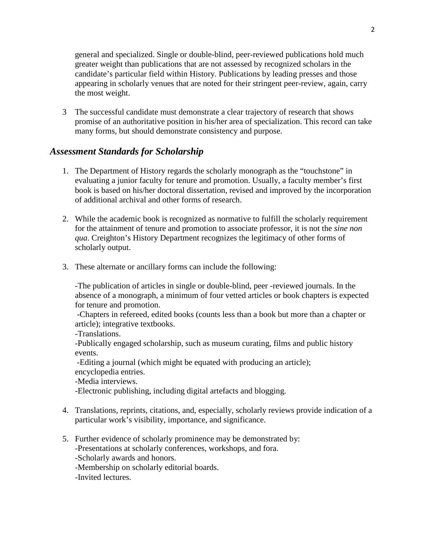general and specialized. Single or double-blind, peer-reviewed publications hold much greater weight than publications that are not assessed by recognized scholars in the candidate's particular field within History. Publications by leading presses and those appearing in scholarly venues that are noted for their stringent peer-review, again, carry the most weight.

3 The successful candidate must demonstrate a clear trajectory of research that shows promise of an authoritative position in his/her area of specialization. This record can take many forms, but should demonstrate consistency and purpose.

# *Assessment Standards for Scholarship*

- 1. The Department of History regards the scholarly monograph as the "touchstone" in evaluating a junior faculty for tenure and promotion. Usually, a faculty member's first book is based on his/her doctoral dissertation, revised and improved by the incorporation of additional archival and other forms of research.
- 2. While the academic book is recognized as normative to fulfill the scholarly requirement for the attainment of tenure and promotion to associate professor, it is not the *sine non qua*. Creighton's History Department recognizes the legitimacy of other forms of scholarly output.
- 3. These alternate or ancillary forms can include the following:

-The publication of articles in single or double-blind, peer -reviewed journals. In the absence of a monograph, a minimum of four vetted articles or book chapters is expected for tenure and promotion.

-Chapters in refereed, edited books (counts less than a book but more than a chapter or article); integrative textbooks.

-Translations.

-Publically engaged scholarship, such as museum curating, films and public history events.

-Editing a journal (which might be equated with producing an article); encyclopedia entries.

-Media interviews.

-Electronic publishing, including digital artefacts and blogging.

- 4. Translations, reprints, citations, and, especially, scholarly reviews provide indication of a particular work's visibility, importance, and significance.
- 5. Further evidence of scholarly prominence may be demonstrated by: -Presentations at scholarly conferences, workshops, and fora.

-Scholarly awards and honors.

-Membership on scholarly editorial boards.

-Invited lectures.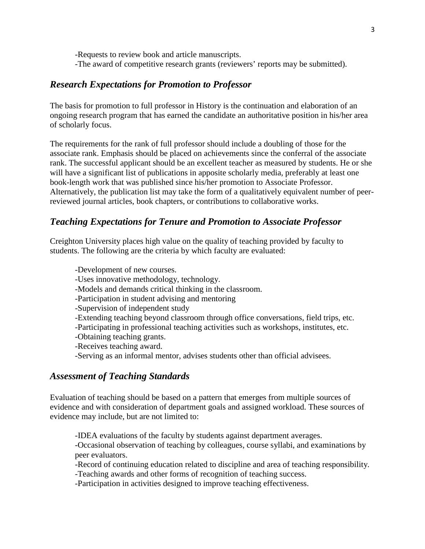-Requests to review book and article manuscripts. -The award of competitive research grants (reviewers' reports may be submitted).

## *Research Expectations for Promotion to Professor*

The basis for promotion to full professor in History is the continuation and elaboration of an ongoing research program that has earned the candidate an authoritative position in his/her area of scholarly focus.

The requirements for the rank of full professor should include a doubling of those for the associate rank. Emphasis should be placed on achievements since the conferral of the associate rank. The successful applicant should be an excellent teacher as measured by students. He or she will have a significant list of publications in apposite scholarly media, preferably at least one book-length work that was published since his/her promotion to Associate Professor. Alternatively, the publication list may take the form of a qualitatively equivalent number of peerreviewed journal articles, book chapters, or contributions to collaborative works.

## *Teaching Expectations for Tenure and Promotion to Associate Professor*

Creighton University places high value on the quality of teaching provided by faculty to students. The following are the criteria by which faculty are evaluated:

 -Development of new courses. -Uses innovative methodology, technology. -Models and demands critical thinking in the classroom. -Participation in student advising and mentoring -Supervision of independent study -Extending teaching beyond classroom through office conversations, field trips, etc. -Participating in professional teaching activities such as workshops, institutes, etc. -Obtaining teaching grants. -Receives teaching award. -Serving as an informal mentor, advises students other than official advisees. *Assessment of Teaching Standards*

Evaluation of teaching should be based on a pattern that emerges from multiple sources of evidence and with consideration of department goals and assigned workload. These sources of evidence may include, but are not limited to:

-IDEA evaluations of the faculty by students against department averages.

-Occasional observation of teaching by colleagues, course syllabi, and examinations by peer evaluators.

-Record of continuing education related to discipline and area of teaching responsibility.

-Teaching awards and other forms of recognition of teaching success.

-Participation in activities designed to improve teaching effectiveness.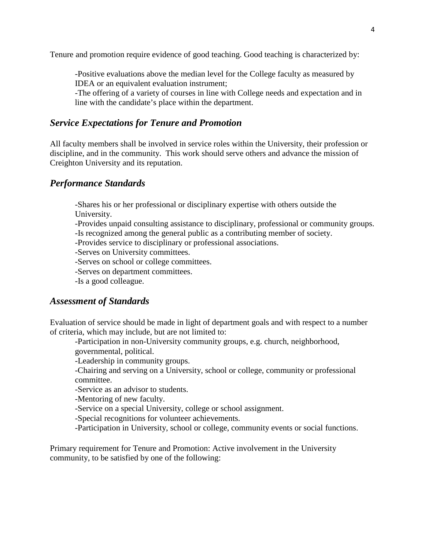Tenure and promotion require evidence of good teaching. Good teaching is characterized by:

-Positive evaluations above the median level for the College faculty as measured by IDEA or an equivalent evaluation instrument;

-The offering of a variety of courses in line with College needs and expectation and in line with the candidate's place within the department.

# *Service Expectations for Tenure and Promotion*

All faculty members shall be involved in service roles within the University, their profession or discipline, and in the community. This work should serve others and advance the mission of Creighton University and its reputation.

## *Performance Standards*

-Shares his or her professional or disciplinary expertise with others outside the University.

-Provides unpaid consulting assistance to disciplinary, professional or community groups.

-Is recognized among the general public as a contributing member of society.

-Provides service to disciplinary or professional associations.

-Serves on University committees.

-Serves on school or college committees.

-Serves on department committees.

-Is a good colleague.

# *Assessment of Standards*

Evaluation of service should be made in light of department goals and with respect to a number of criteria, which may include, but are not limited to:

-Participation in non-University community groups, e.g. church, neighborhood, governmental, political.

-Leadership in community groups.

-Chairing and serving on a University, school or college, community or professional committee.

-Service as an advisor to students.

-Mentoring of new faculty.

-Service on a special University, college or school assignment.

-Special recognitions for volunteer achievements.

-Participation in University, school or college, community events or social functions.

Primary requirement for Tenure and Promotion: Active involvement in the University community, to be satisfied by one of the following: